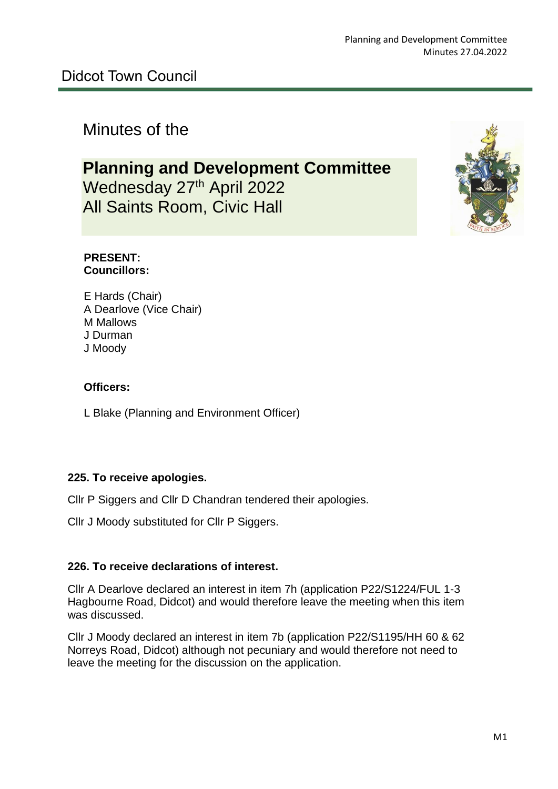# Minutes of the

# **Planning and Development Committee** Wednesday 27<sup>th</sup> April 2022

All Saints Room, Civic Hall



#### **PRESENT: Councillors:**

E Hards (Chair) A Dearlove (Vice Chair) M Mallows J Durman J Moody

#### **Officers:**

L Blake (Planning and Environment Officer)

#### **225. To receive apologies.**

Cllr P Siggers and Cllr D Chandran tendered their apologies.

Cllr J Moody substituted for Cllr P Siggers.

#### **226. To receive declarations of interest.**

Cllr A Dearlove declared an interest in item 7h (application P22/S1224/FUL 1-3 Hagbourne Road, Didcot) and would therefore leave the meeting when this item was discussed.

Cllr J Moody declared an interest in item 7b (application P22/S1195/HH 60 & 62 Norreys Road, Didcot) although not pecuniary and would therefore not need to leave the meeting for the discussion on the application.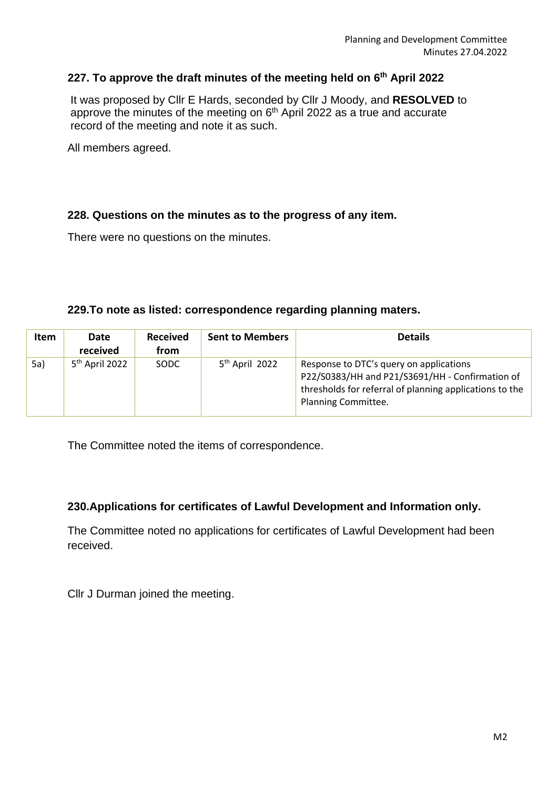#### **227. To approve the draft minutes of the meeting held on 6 th April 2022**

 It was proposed by Cllr E Hards, seconded by Cllr J Moody, and **RESOLVED** to approve the minutes of the meeting on  $6<sup>th</sup>$  April 2022 as a true and accurate record of the meeting and note it as such.

All members agreed.

#### **228. Questions on the minutes as to the progress of any item.**

There were no questions on the minutes.

#### **229.To note as listed: correspondence regarding planning maters.**

| Item | Date<br>received | <b>Received</b><br>from | <b>Sent to Members</b> | <b>Details</b>                                                                                                                                                               |
|------|------------------|-------------------------|------------------------|------------------------------------------------------------------------------------------------------------------------------------------------------------------------------|
| 5a)  | $5th$ April 2022 | <b>SODC</b>             | $5th$ April 2022       | Response to DTC's query on applications<br>P22/S0383/HH and P21/S3691/HH - Confirmation of<br>thresholds for referral of planning applications to the<br>Planning Committee. |

The Committee noted the items of correspondence.

#### **230.Applications for certificates of Lawful Development and Information only.**

The Committee noted no applications for certificates of Lawful Development had been received.

Cllr J Durman joined the meeting.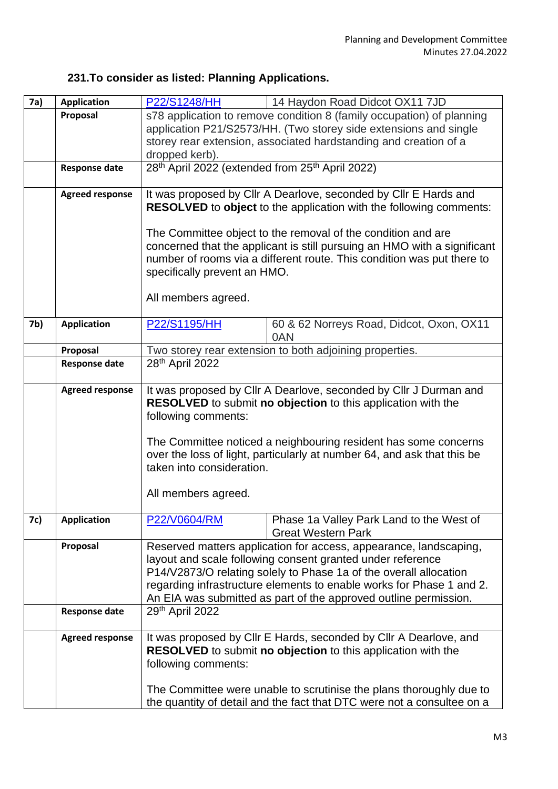# **231.To consider as listed: Planning Applications.**

| 7a) | <b>Application</b>     | P22/S1248/HH                                                                                                                                                                                                                                                                                                                                     | 14 Haydon Road Didcot OX11 7JD                                        |  |
|-----|------------------------|--------------------------------------------------------------------------------------------------------------------------------------------------------------------------------------------------------------------------------------------------------------------------------------------------------------------------------------------------|-----------------------------------------------------------------------|--|
|     | Proposal               | s78 application to remove condition 8 (family occupation) of planning                                                                                                                                                                                                                                                                            |                                                                       |  |
|     |                        | application P21/S2573/HH. (Two storey side extensions and single                                                                                                                                                                                                                                                                                 |                                                                       |  |
|     |                        | storey rear extension, associated hardstanding and creation of a                                                                                                                                                                                                                                                                                 |                                                                       |  |
|     |                        | dropped kerb).                                                                                                                                                                                                                                                                                                                                   |                                                                       |  |
|     | <b>Response date</b>   | 28th April 2022 (extended from 25th April 2022)                                                                                                                                                                                                                                                                                                  |                                                                       |  |
|     | <b>Agreed response</b> | It was proposed by Cllr A Dearlove, seconded by Cllr E Hards and                                                                                                                                                                                                                                                                                 |                                                                       |  |
|     |                        | <b>RESOLVED</b> to object to the application with the following comments:                                                                                                                                                                                                                                                                        |                                                                       |  |
|     |                        | The Committee object to the removal of the condition and are                                                                                                                                                                                                                                                                                     |                                                                       |  |
|     |                        | concerned that the applicant is still pursuing an HMO with a significant                                                                                                                                                                                                                                                                         |                                                                       |  |
|     |                        | number of rooms via a different route. This condition was put there to                                                                                                                                                                                                                                                                           |                                                                       |  |
|     |                        | specifically prevent an HMO.                                                                                                                                                                                                                                                                                                                     |                                                                       |  |
|     |                        | All members agreed.                                                                                                                                                                                                                                                                                                                              |                                                                       |  |
| 7b) | <b>Application</b>     | P22/S1195/HH                                                                                                                                                                                                                                                                                                                                     | 60 & 62 Norreys Road, Didcot, Oxon, OX11                              |  |
|     |                        |                                                                                                                                                                                                                                                                                                                                                  | 0AN                                                                   |  |
|     | Proposal               | Two storey rear extension to both adjoining properties.                                                                                                                                                                                                                                                                                          |                                                                       |  |
|     | <b>Response date</b>   | 28 <sup>th</sup> April 2022                                                                                                                                                                                                                                                                                                                      |                                                                       |  |
|     | <b>Agreed response</b> | It was proposed by Cllr A Dearlove, seconded by Cllr J Durman and<br>RESOLVED to submit no objection to this application with the<br>following comments:                                                                                                                                                                                         |                                                                       |  |
|     |                        | The Committee noticed a neighbouring resident has some concerns<br>over the loss of light, particularly at number 64, and ask that this be<br>taken into consideration.                                                                                                                                                                          |                                                                       |  |
|     |                        | All members agreed.                                                                                                                                                                                                                                                                                                                              |                                                                       |  |
| 7c) | <b>Application</b>     | P22/V0604/RM                                                                                                                                                                                                                                                                                                                                     | Phase 1a Valley Park Land to the West of<br><b>Great Western Park</b> |  |
|     | Proposal               | Reserved matters application for access, appearance, landscaping,<br>layout and scale following consent granted under reference<br>P14/V2873/O relating solely to Phase 1a of the overall allocation<br>regarding infrastructure elements to enable works for Phase 1 and 2.<br>An EIA was submitted as part of the approved outline permission. |                                                                       |  |
|     | <b>Response date</b>   | 29th April 2022                                                                                                                                                                                                                                                                                                                                  |                                                                       |  |
|     | <b>Agreed response</b> | It was proposed by Cllr E Hards, seconded by Cllr A Dearlove, and<br><b>RESOLVED</b> to submit no objection to this application with the<br>following comments:<br>The Committee were unable to scrutinise the plans thoroughly due to<br>the quantity of detail and the fact that DTC were not a consultee on a                                 |                                                                       |  |
|     |                        |                                                                                                                                                                                                                                                                                                                                                  |                                                                       |  |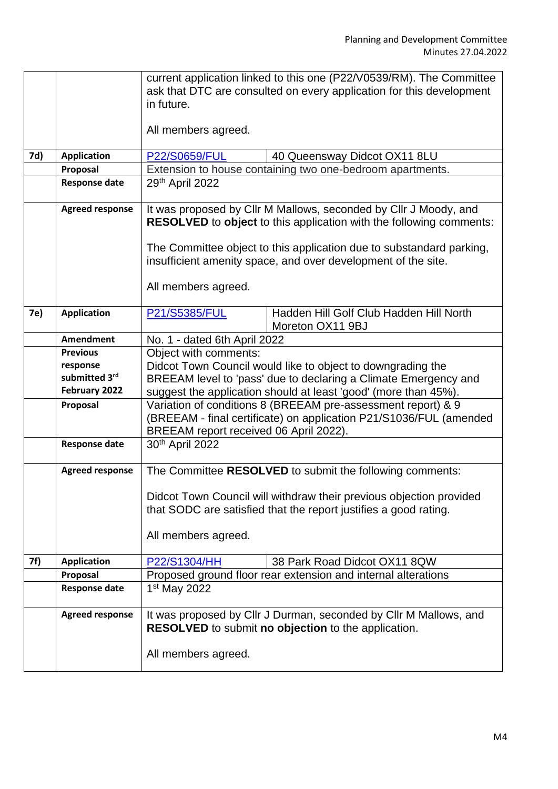|     |                        | current application linked to this one (P22/V0539/RM). The Committee                                                                                                         |  |  |  |
|-----|------------------------|------------------------------------------------------------------------------------------------------------------------------------------------------------------------------|--|--|--|
|     |                        | ask that DTC are consulted on every application for this development                                                                                                         |  |  |  |
|     |                        | in future.                                                                                                                                                                   |  |  |  |
|     |                        | All members agreed.                                                                                                                                                          |  |  |  |
| 7d) | <b>Application</b>     | P22/S0659/FUL<br>40 Queensway Didcot OX11 8LU                                                                                                                                |  |  |  |
|     | Proposal               | Extension to house containing two one-bedroom apartments.                                                                                                                    |  |  |  |
|     | <b>Response date</b>   | 29th April 2022                                                                                                                                                              |  |  |  |
|     |                        |                                                                                                                                                                              |  |  |  |
|     | <b>Agreed response</b> | It was proposed by Cllr M Mallows, seconded by Cllr J Moody, and<br><b>RESOLVED</b> to object to this application with the following comments:                               |  |  |  |
|     |                        | The Committee object to this application due to substandard parking,<br>insufficient amenity space, and over development of the site.                                        |  |  |  |
|     |                        | All members agreed.                                                                                                                                                          |  |  |  |
| 7e) | <b>Application</b>     | Hadden Hill Golf Club Hadden Hill North<br><b>P21/S5385/FUL</b><br>Moreton OX11 9BJ                                                                                          |  |  |  |
|     | <b>Amendment</b>       | No. 1 - dated 6th April 2022                                                                                                                                                 |  |  |  |
|     | <b>Previous</b>        | Object with comments:                                                                                                                                                        |  |  |  |
|     | response               | Didcot Town Council would like to object to downgrading the                                                                                                                  |  |  |  |
|     | submitted 3rd          | BREEAM level to 'pass' due to declaring a Climate Emergency and                                                                                                              |  |  |  |
|     | February 2022          | suggest the application should at least 'good' (more than 45%).                                                                                                              |  |  |  |
|     | Proposal               | Variation of conditions 8 (BREEAM pre-assessment report) & 9<br>(BREEAM - final certificate) on application P21/S1036/FUL (amended<br>BREEAM report received 06 April 2022). |  |  |  |
|     | <b>Response date</b>   | 30th April 2022                                                                                                                                                              |  |  |  |
|     |                        |                                                                                                                                                                              |  |  |  |
|     | <b>Agreed response</b> | The Committee RESOLVED to submit the following comments:                                                                                                                     |  |  |  |
|     |                        | Didcot Town Council will withdraw their previous objection provided<br>that SODC are satisfied that the report justifies a good rating.                                      |  |  |  |
|     |                        | All members agreed.                                                                                                                                                          |  |  |  |
| 7f) | <b>Application</b>     | P22/S1304/HH<br>38 Park Road Didcot OX11 8QW                                                                                                                                 |  |  |  |
|     | Proposal               | Proposed ground floor rear extension and internal alterations                                                                                                                |  |  |  |
|     | <b>Response date</b>   | 1 <sup>st</sup> May 2022                                                                                                                                                     |  |  |  |
|     | <b>Agreed response</b> | It was proposed by Cllr J Durman, seconded by Cllr M Mallows, and<br>RESOLVED to submit no objection to the application.                                                     |  |  |  |
|     |                        | All members agreed.                                                                                                                                                          |  |  |  |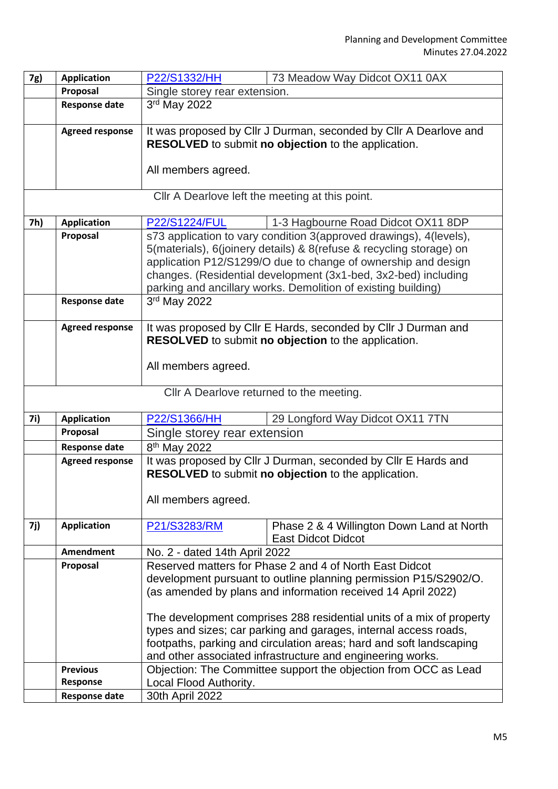| 7g) | <b>Application</b>                       | P22/S1332/HH<br>73 Meadow Way Didcot OX11 0AX                                                                                             |                                                                      |  |  |
|-----|------------------------------------------|-------------------------------------------------------------------------------------------------------------------------------------------|----------------------------------------------------------------------|--|--|
|     | Proposal                                 | Single storey rear extension.                                                                                                             |                                                                      |  |  |
|     | <b>Response date</b>                     | 3rd May 2022                                                                                                                              |                                                                      |  |  |
|     |                                          |                                                                                                                                           |                                                                      |  |  |
|     | <b>Agreed response</b>                   | It was proposed by Cllr J Durman, seconded by Cllr A Dearlove and                                                                         |                                                                      |  |  |
|     |                                          | RESOLVED to submit no objection to the application.                                                                                       |                                                                      |  |  |
|     |                                          |                                                                                                                                           |                                                                      |  |  |
|     |                                          | All members agreed.                                                                                                                       |                                                                      |  |  |
|     |                                          |                                                                                                                                           |                                                                      |  |  |
|     |                                          | Cllr A Dearlove left the meeting at this point.                                                                                           |                                                                      |  |  |
| 7h) | <b>Application</b>                       | <b>P22/S1224/FUL</b>                                                                                                                      | 1-3 Hagbourne Road Didcot OX11 8DP                                   |  |  |
|     | Proposal                                 |                                                                                                                                           |                                                                      |  |  |
|     |                                          | s73 application to vary condition 3(approved drawings), 4(levels),<br>5(materials), 6(joinery details) & 8(refuse & recycling storage) on |                                                                      |  |  |
|     |                                          | application P12/S1299/O due to change of ownership and design                                                                             |                                                                      |  |  |
|     |                                          |                                                                                                                                           | changes. (Residential development (3x1-bed, 3x2-bed) including       |  |  |
|     |                                          |                                                                                                                                           |                                                                      |  |  |
|     | <b>Response date</b>                     | parking and ancillary works. Demolition of existing building)                                                                             |                                                                      |  |  |
|     |                                          | 3rd May 2022                                                                                                                              |                                                                      |  |  |
|     | <b>Agreed response</b>                   |                                                                                                                                           | It was proposed by Cllr E Hards, seconded by Cllr J Durman and       |  |  |
|     |                                          | <b>RESOLVED</b> to submit no objection to the application.                                                                                |                                                                      |  |  |
|     |                                          |                                                                                                                                           |                                                                      |  |  |
|     |                                          | All members agreed.                                                                                                                       |                                                                      |  |  |
|     |                                          |                                                                                                                                           |                                                                      |  |  |
|     | Cllr A Dearlove returned to the meeting. |                                                                                                                                           |                                                                      |  |  |
|     |                                          |                                                                                                                                           |                                                                      |  |  |
| 7i) | <b>Application</b>                       | P22/S1366/HH                                                                                                                              | 29 Longford Way Didcot OX11 7TN                                      |  |  |
|     | Proposal                                 | Single storey rear extension                                                                                                              |                                                                      |  |  |
|     | <b>Response date</b>                     | 8 <sup>th</sup> May 2022                                                                                                                  |                                                                      |  |  |
|     | <b>Agreed response</b>                   | It was proposed by Cllr J Durman, seconded by Cllr E Hards and                                                                            |                                                                      |  |  |
|     |                                          | RESOLVED to submit no objection to the application.                                                                                       |                                                                      |  |  |
|     |                                          |                                                                                                                                           |                                                                      |  |  |
|     |                                          |                                                                                                                                           |                                                                      |  |  |
|     |                                          | All members agreed.                                                                                                                       |                                                                      |  |  |
|     |                                          |                                                                                                                                           |                                                                      |  |  |
| 7j) | <b>Application</b>                       | P21/S3283/RM                                                                                                                              | Phase 2 & 4 Willington Down Land at North                            |  |  |
|     |                                          |                                                                                                                                           | <b>East Didcot Didcot</b>                                            |  |  |
|     | <b>Amendment</b>                         | No. 2 - dated 14th April 2022                                                                                                             |                                                                      |  |  |
|     | Proposal                                 |                                                                                                                                           | Reserved matters for Phase 2 and 4 of North East Didcot              |  |  |
|     |                                          |                                                                                                                                           | development pursuant to outline planning permission P15/S2902/O.     |  |  |
|     |                                          |                                                                                                                                           | (as amended by plans and information received 14 April 2022)         |  |  |
|     |                                          |                                                                                                                                           |                                                                      |  |  |
|     |                                          |                                                                                                                                           | The development comprises 288 residential units of a mix of property |  |  |
|     |                                          |                                                                                                                                           | types and sizes; car parking and garages, internal access roads,     |  |  |
|     |                                          |                                                                                                                                           | footpaths, parking and circulation areas; hard and soft landscaping  |  |  |
|     |                                          |                                                                                                                                           | and other associated infrastructure and engineering works.           |  |  |
|     | <b>Previous</b>                          |                                                                                                                                           | Objection: The Committee support the objection from OCC as Lead      |  |  |
|     | Response<br><b>Response date</b>         | Local Flood Authority.<br>30th April 2022                                                                                                 |                                                                      |  |  |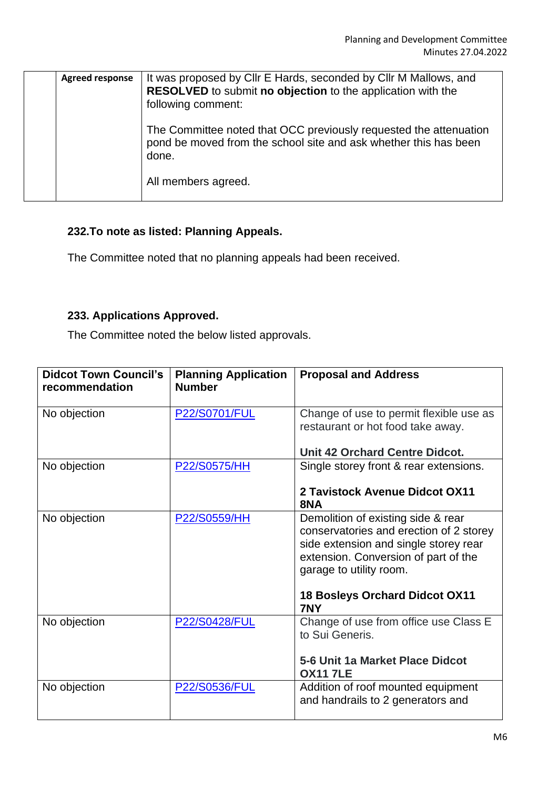| <b>Agreed response</b> | It was proposed by CIIr E Hards, seconded by CIIr M Mallows, and<br>RESOLVED to submit no objection to the application with the<br>following comment: |
|------------------------|-------------------------------------------------------------------------------------------------------------------------------------------------------|
|                        | The Committee noted that OCC previously requested the attenuation<br>pond be moved from the school site and ask whether this has been<br>done.        |
|                        | All members agreed.                                                                                                                                   |

#### **232.To note as listed: Planning Appeals.**

The Committee noted that no planning appeals had been received.

## **233. Applications Approved.**

The Committee noted the below listed approvals.

| <b>Didcot Town Council's</b><br>recommendation | <b>Planning Application</b><br><b>Number</b> | <b>Proposal and Address</b>                                                                                                                                                                                                               |
|------------------------------------------------|----------------------------------------------|-------------------------------------------------------------------------------------------------------------------------------------------------------------------------------------------------------------------------------------------|
| No objection                                   | <b>P22/S0701/FUL</b>                         | Change of use to permit flexible use as<br>restaurant or hot food take away.                                                                                                                                                              |
|                                                |                                              | <b>Unit 42 Orchard Centre Didcot.</b>                                                                                                                                                                                                     |
| No objection                                   | P22/S0575/HH                                 | Single storey front & rear extensions.<br>2 Tavistock Avenue Didcot OX11<br>8NA                                                                                                                                                           |
| No objection                                   | P22/S0559/HH                                 | Demolition of existing side & rear<br>conservatories and erection of 2 storey<br>side extension and single storey rear<br>extension. Conversion of part of the<br>garage to utility room.<br><b>18 Bosleys Orchard Didcot OX11</b><br>7NY |
| No objection                                   | <b>P22/S0428/FUL</b>                         | Change of use from office use Class E<br>to Sui Generis.<br>5-6 Unit 1a Market Place Didcot<br><b>OX117LE</b>                                                                                                                             |
| No objection                                   | P22/S0536/FUL                                | Addition of roof mounted equipment<br>and handrails to 2 generators and                                                                                                                                                                   |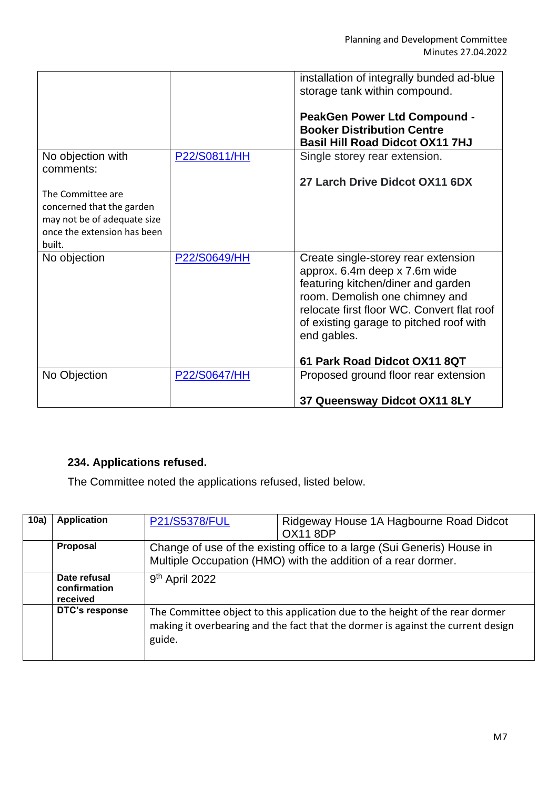|                                                                                                                        |              | installation of integrally bunded ad-blue<br>storage tank within compound.<br><b>PeakGen Power Ltd Compound -</b><br><b>Booker Distribution Centre</b><br><b>Basil Hill Road Didcot OX11 7HJ</b>                                                                                     |
|------------------------------------------------------------------------------------------------------------------------|--------------|--------------------------------------------------------------------------------------------------------------------------------------------------------------------------------------------------------------------------------------------------------------------------------------|
| No objection with<br>comments:                                                                                         | P22/S0811/HH | Single storey rear extension.                                                                                                                                                                                                                                                        |
| The Committee are<br>concerned that the garden<br>may not be of adequate size<br>once the extension has been<br>built. |              | 27 Larch Drive Didcot OX11 6DX                                                                                                                                                                                                                                                       |
| No objection                                                                                                           | P22/S0649/HH | Create single-storey rear extension<br>approx. 6.4m deep x 7.6m wide<br>featuring kitchen/diner and garden<br>room. Demolish one chimney and<br>relocate first floor WC. Convert flat roof<br>of existing garage to pitched roof with<br>end gables.<br>61 Park Road Didcot OX11 8QT |
| No Objection                                                                                                           | P22/S0647/HH | Proposed ground floor rear extension                                                                                                                                                                                                                                                 |
|                                                                                                                        |              | 37 Queensway Didcot OX11 8LY                                                                                                                                                                                                                                                         |

# **234. Applications refused.**

The Committee noted the applications refused, listed below.

| 10a) | <b>Application</b>                       | P21/S5378/FUL                                                                                                                                                               | Ridgeway House 1A Hagbourne Road Didcot<br><b>OX11 8DP</b> |  |
|------|------------------------------------------|-----------------------------------------------------------------------------------------------------------------------------------------------------------------------------|------------------------------------------------------------|--|
|      | <b>Proposal</b>                          | Change of use of the existing office to a large (Sui Generis) House in<br>Multiple Occupation (HMO) with the addition of a rear dormer.                                     |                                                            |  |
|      | Date refusal<br>confirmation<br>received | 9 <sup>th</sup> April 2022                                                                                                                                                  |                                                            |  |
|      | DTC's response                           | The Committee object to this application due to the height of the rear dormer<br>making it overbearing and the fact that the dormer is against the current design<br>guide. |                                                            |  |